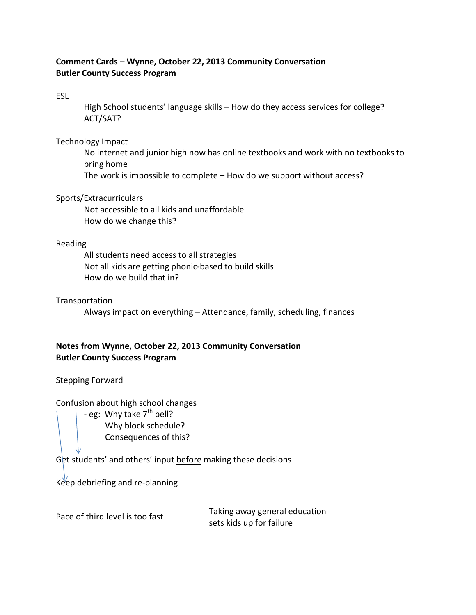## **Comment Cards – Wynne, October 22, 2013 Community Conversation Butler County Success Program**

ESL

High School students' language skills – How do they access services for college? ACT/SAT?

Technology Impact

No internet and junior high now has online textbooks and work with no textbooks to bring home The work is impossible to complete – How do we support without access?

Sports/Extracurriculars

Not accessible to all kids and unaffordable How do we change this?

## Reading

All students need access to all strategies Not all kids are getting phonic-based to build skills How do we build that in?

## **Transportation**

Always impact on everything – Attendance, family, scheduling, finances

## **Notes from Wynne, October 22, 2013 Community Conversation Butler County Success Program**

Stepping Forward

Confusion about high school changes

- eg: Why take  $7<sup>th</sup>$  bell? Why block schedule? Consequences of this?

Get students' and others' input before making these decisions

Keep debriefing and re-planning

Pace of third level is too fast

Taking away general education sets kids up for failure